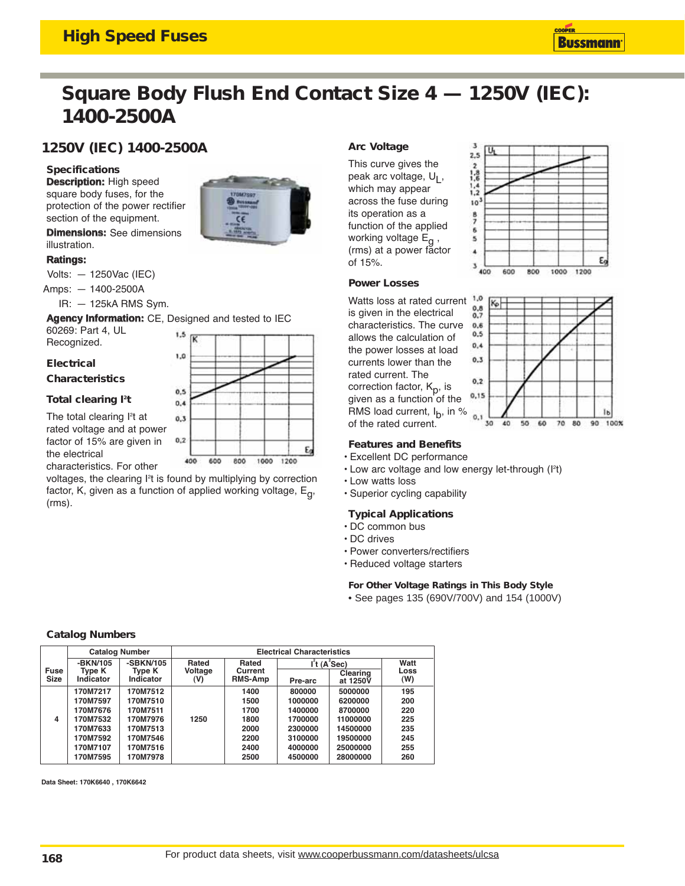## **High Speed Fuses**



# **Square Body Flush End Contact Size 4 — 1250V (IEC): 1400-2500A**

### **1250V (IEC) 1400-2500A**

#### **Specifications**

**Description:** High speed square body fuses, for the protection of the power rectifier section of the equipment.

**Dimensions:** See dimensions illustration.

#### **Ratings:**

Volts: — 1250Vac (IEC)

Amps: — 1400-2500A

IR: — 125kA RMS Sym.

**Agency Information:** CE, Designed and tested to IEC

 $1.5$ 

1.0

 $0.5$ 

 $0.4$ 

 $0,3$ 

 $0,2$ 

60269: Part 4, UL Recognized.

#### **Electrical**

**Characteristics**

#### Total clearing l<sup>2</sup>t

The total clearing l<sup>2</sup>t at rated voltage and at power factor of 15% are given in the electrical characteristics. For other



400

600

800

1000

### **Arc Voltage**

This curve gives the peak arc voltage,  $U<sub>1</sub>$ , which may appear across the fuse during its operation as a function of the applied working voltage E<sub>q</sub>, (rms) at a power factor of 15%.



#### **Power Losses**

Watts loss at rated current is given in the electrical characteristics. The curve allows the calculation of the power losses at load currents lower than the rated current. The correction factor,  $K_p$ , is given as a function of the RMS load current,  $I_b$ , in % of the rated current.



#### **Features and Benefits**

- Excellent DC performance
- $\cdot$  Low arc voltage and low energy let-through (I<sup>2</sup>t)
- Low watts loss
- Superior cycling capability

- **Typical Applications**
- DC common bus

Ë

1200

- DC drives
- Power converters/rectifiers
- Reduced voltage starters

#### **For Other Voltage Ratings in This Body Style**

• See pages 135 (690V/700V) and 154 (1000V)

#### **Catalog Numbers**

|                     | <b>Catalog Number</b>                                                                        |                                                                                              | <b>Electrical Characteristics</b> |                                                              |                                                                                     |                                                                                           |                                                      |
|---------------------|----------------------------------------------------------------------------------------------|----------------------------------------------------------------------------------------------|-----------------------------------|--------------------------------------------------------------|-------------------------------------------------------------------------------------|-------------------------------------------------------------------------------------------|------------------------------------------------------|
| Fuse<br><b>Size</b> | -BKN/105<br>Tvpe K<br>Indicator                                                              | -SBKN/105<br>Tvpe K<br>Indicator                                                             | Rated<br>Voltage<br>(V)           | Rated<br>Current<br><b>RMS-Amp</b>                           | Pre-arc                                                                             | $l2$ t (A $2$ Sec)<br>Clearing<br>at 1250V                                                | Watt<br>Loss<br>(W)                                  |
| 4                   | 170M7217<br>170M7597<br>170M7676<br>170M7532<br>170M7633<br>170M7592<br>170M7107<br>170M7595 | 170M7512<br>170M7510<br>170M7511<br>170M7976<br>170M7513<br>170M7546<br>170M7516<br>170M7978 | 1250                              | 1400<br>1500<br>1700<br>1800<br>2000<br>2200<br>2400<br>2500 | 800000<br>1000000<br>1400000<br>1700000<br>2300000<br>3100000<br>4000000<br>4500000 | 5000000<br>6200000<br>8700000<br>11000000<br>14500000<br>19500000<br>25000000<br>28000000 | 195<br>200<br>220<br>225<br>235<br>245<br>255<br>260 |

Data Sheet: 170K6640 , 170K6642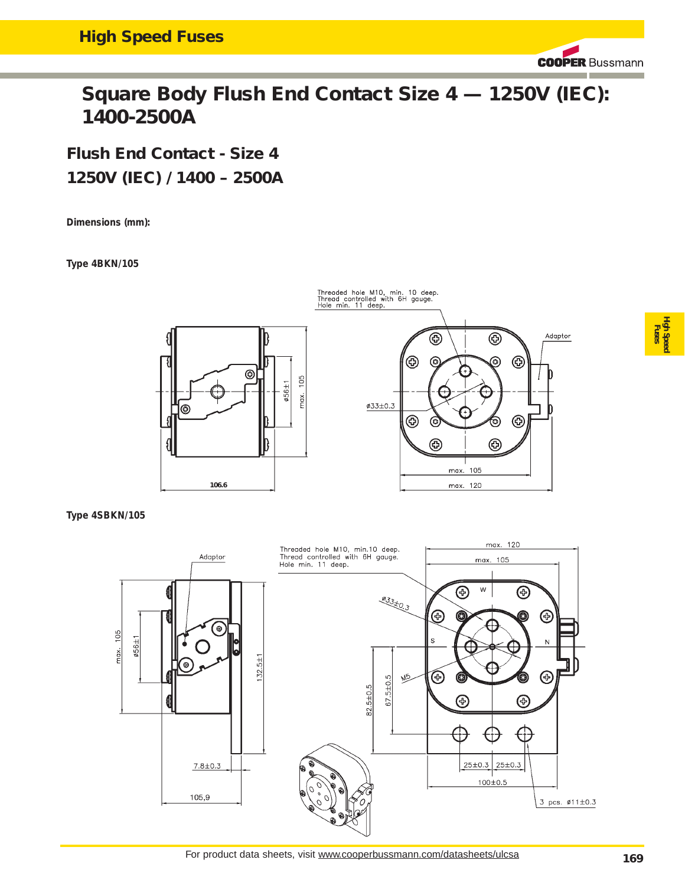**COOPER Bussmann** 

# **Square Body Flush End Contact Size 4 — 1250V (IEC): 1400-2500A**

**Flush End Contact - Size 4 1250V (IEC) / 1400 – 2500A**

**Dimensions (mm):** 

**Type 4BKN/105**



**Type 4SBKN/105**